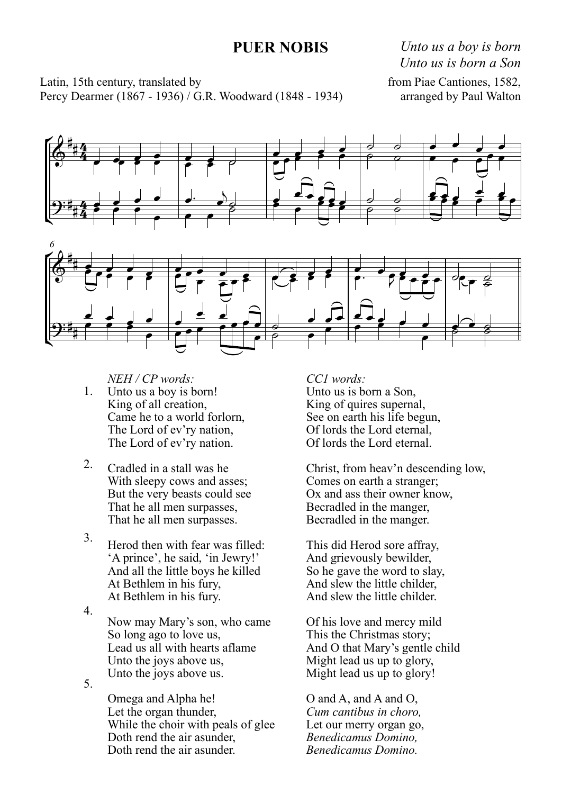## **PUER NOBIS**

*Unto us a boy is born Unto us is born a Son*

Latin, 15th century, translated by Percy Dearmer (1867 - 1936) / G.R. Woodward (1848 - 1934) from Piae Cantiones, 1582, arranged by Paul Walton





1. *NEH / CP words:* Unto us a boy is born! King of all creation, Came he to a world forlorn, The Lord of ev'ry nation, The Lord of ev'ry nation.

- 2. Cradled in a stall was he With sleepy cows and asses: But the very beasts could see That he all men surpasses, That he all men surpasses.
- 3. Herod then with fear was filled: 'A prince', he said, 'in Jewry!' And all the little boys he killed At Bethlem in his fury, At Bethlem in his fury.

4. 5. Now may Mary's son, who came So long ago to love us, Lead us all with hearts aflame Unto the joys above us, Unto the joys above us.

> Omega and Alpha he! Let the organ thunder, While the choir with peals of glee Doth rend the air asunder, Doth rend the air asunder.

*CC1 words:* Unto us is born a Son, King of quires supernal, See on earth his life begun, Of lords the Lord eternal, Of lords the Lord eternal.

Christ, from heav'n descending low, Comes on earth a stranger; Ox and ass their owner know, Becradled in the manger, Becradled in the manger.

This did Herod sore affray, And grievously bewilder, So he gave the word to slay, And slew the little childer, And slew the little childer.

Of his love and mercy mild This the Christmas story; And O that Mary's gentle child Might lead us up to glory, Might lead us up to glory!

O and A, and A and O, *Cum cantibus in choro,* Let our merry organ go,*Benedicamus Domino, Benedicamus Domino.*